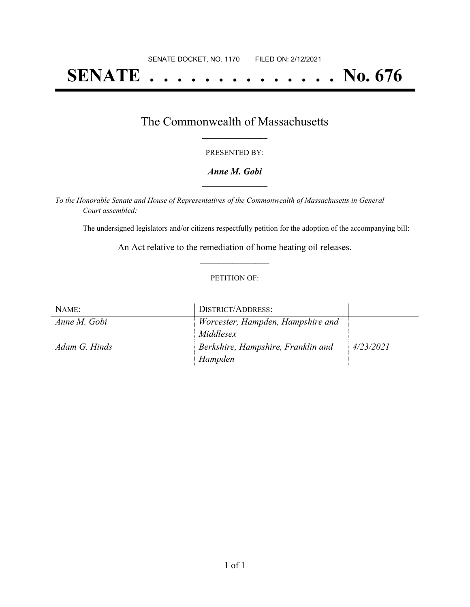# **SENATE . . . . . . . . . . . . . . No. 676**

### The Commonwealth of Massachusetts **\_\_\_\_\_\_\_\_\_\_\_\_\_\_\_\_\_**

#### PRESENTED BY:

#### *Anne M. Gobi* **\_\_\_\_\_\_\_\_\_\_\_\_\_\_\_\_\_**

*To the Honorable Senate and House of Representatives of the Commonwealth of Massachusetts in General Court assembled:*

The undersigned legislators and/or citizens respectfully petition for the adoption of the accompanying bill:

An Act relative to the remediation of home heating oil releases. **\_\_\_\_\_\_\_\_\_\_\_\_\_\_\_**

#### PETITION OF:

| NAME:         | DISTRICT/ADDRESS:                  |           |
|---------------|------------------------------------|-----------|
| Anne M. Gobi  | Worcester, Hampden, Hampshire and  |           |
|               | Middlesex                          |           |
| Adam G. Hinds | Berkshire, Hampshire, Franklin and | 4/23/2021 |
|               | Hampden                            |           |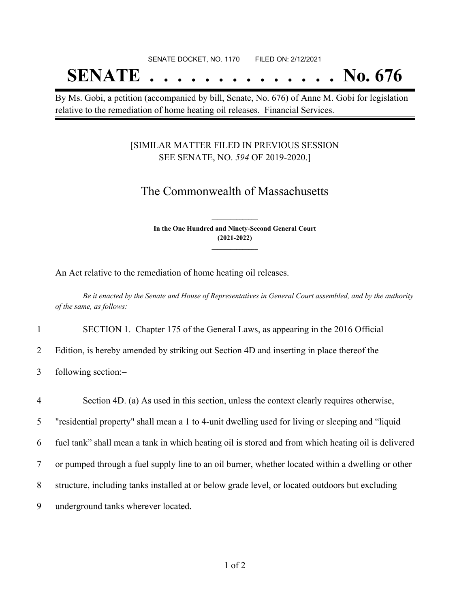# SENATE DOCKET, NO. 1170 FILED ON: 2/12/2021 **SENATE . . . . . . . . . . . . . . No. 676**

By Ms. Gobi, a petition (accompanied by bill, Senate, No. 676) of Anne M. Gobi for legislation relative to the remediation of home heating oil releases. Financial Services.

#### [SIMILAR MATTER FILED IN PREVIOUS SESSION SEE SENATE, NO. *594* OF 2019-2020.]

## The Commonwealth of Massachusetts

**In the One Hundred and Ninety-Second General Court (2021-2022) \_\_\_\_\_\_\_\_\_\_\_\_\_\_\_**

**\_\_\_\_\_\_\_\_\_\_\_\_\_\_\_**

An Act relative to the remediation of home heating oil releases.

Be it enacted by the Senate and House of Representatives in General Court assembled, and by the authority *of the same, as follows:*

1 SECTION 1. Chapter 175 of the General Laws, as appearing in the 2016 Official

2 Edition, is hereby amended by striking out Section 4D and inserting in place thereof the

3 following section:–

 Section 4D. (a) As used in this section, unless the context clearly requires otherwise, "residential property" shall mean a 1 to 4-unit dwelling used for living or sleeping and "liquid fuel tank" shall mean a tank in which heating oil is stored and from which heating oil is delivered or pumped through a fuel supply line to an oil burner, whether located within a dwelling or other structure, including tanks installed at or below grade level, or located outdoors but excluding underground tanks wherever located.